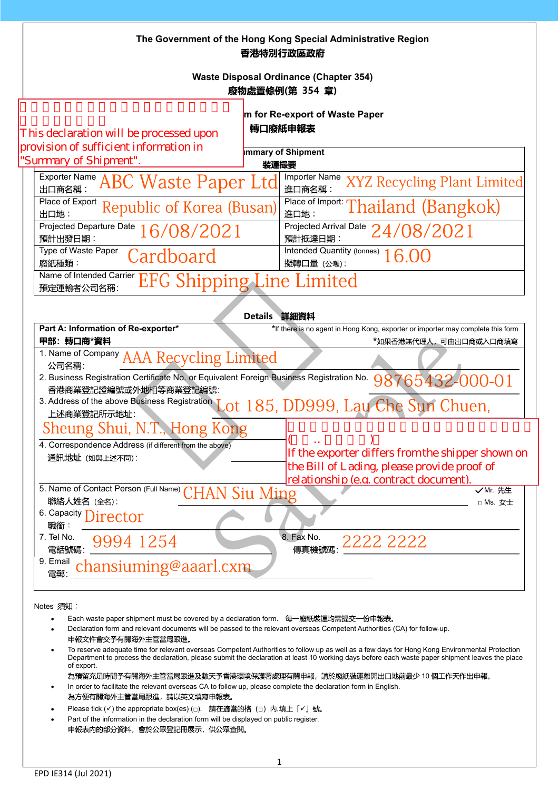| The Government of the Hong Kong Special Administrative Region |
|---------------------------------------------------------------|
| 香港特別行政區政府                                                     |

Waste Disposal Ordinance (Chapter 354) 廢物處置條例(第 354 章)

## m for Re-export of Waste Paper

| This declaration will be processed upon |
|-----------------------------------------|
| provision of sufficient information in  |
| "Summary of Shinment"                   |

|  |  | 轉口廢紙申報表 |  |  |
|--|--|---------|--|--|

| provision of sufficient mitoritation in<br>"Summary of Shipment". | Immary of Shipment<br>装運撮要                                                     |
|-------------------------------------------------------------------|--------------------------------------------------------------------------------|
| Exporter Name ABC Waste Paper Ltd<br>出口商名稱:                       | Importer Name XYZ Recycling Plant Limited<br>進口商名稱:                            |
| Place of Export Republic of Korea (Busan)<br>出口地:                 | Flace of Import: Thailand (Bangkok)<br>進口地:                                    |
| Projected Departure Date<br>16/08/2021<br>預計出發日期:                 | $\frac{\text{Projected Arrival Date}}{\text{Triartian}} 24/08/2021$<br>預計抵達日期: |
| Type of Waste Paper<br>Cardboard<br>廢紙種類:                         | Intended Quantity (tonnes) $16.00$<br>擬轉口量 (公噸):                               |
| Name of Intended Carrier EFG Shipping Line Limited<br>預定運輸者公司名稱:  |                                                                                |

|                                                                                                                   | Details 詳細資料                                                                    |
|-------------------------------------------------------------------------------------------------------------------|---------------------------------------------------------------------------------|
| Part A: Information of Re-exporter*                                                                               | *If there is no agent in Hong Kong, exporter or importer may complete this form |
| 甲部:轉口商*資料                                                                                                         | *如果香港無代理人,可由出口商或入口商填寫                                                           |
| 1. Name of Company AAA Recycling Limited<br>公司名稱:                                                                 |                                                                                 |
| 2. Business Registration Certificate No. or Equivalent Foreign Business Registration No.<br>香港商業登記證編號或外地相等商業登記編號: | 98765432-000-01                                                                 |
| 3. Address of the above Business Registration<br>上述商業登記所示地址:                                                      | Lot 185, DD999, Lau Che Sun Chuen,                                              |
| Sheung Shui, N.T., Hong Kong                                                                                      |                                                                                 |
| 4. Correspondence Address (if different from the above)                                                           |                                                                                 |
| 通訊地址 (如與上述不同):                                                                                                    | If the exporter differs from the shipper shown on                               |
|                                                                                                                   | the Bill of Lading, please provide proof of                                     |
|                                                                                                                   | relationship (e.g. contract document).                                          |
| 5. Name of Contact Person (Full Name) CHAN Siu Ming                                                               | √Mr. 先生                                                                         |
| 聯絡人姓名 (全名):                                                                                                       | $\Box$ Ms. $\overline{x}$ $\pm$                                                 |
| 6. Capacity Director<br>職銜:                                                                                       |                                                                                 |
| 7. Tel No.<br>9994 1254<br>電話號碼:                                                                                  | 8. Fax No.<br>- 5^ 140.<br>傳真機號碼: 2222 2222                                     |
| 9. Email                                                                                                          |                                                                                 |
| chansiuming@aaarl.cxm<br>雷郵                                                                                       |                                                                                 |
|                                                                                                                   |                                                                                 |

Notes 須知:

- Each waste paper shipment must be covered by a declaration form. 每一廢紙裝運均需提交一份申報表。
- Declaration form and relevant documents will be passed to the relevant overseas Competent Authorities (CA) for follow-up. 申報文件會交予有關海外主管當局跟進。
- To reserve adequate time for relevant overseas Competent Authorities to follow up as well as a few days for Hong Kong Environmental Protection Department to process the declaration, please submit the declaration at least 10 working days before each waste paper shipment leaves the place of export.

為預留充足時間予有關海外主管當局跟進及數天予香港環境保護署處理有關申報,請於廢紙裝運離開出口地前最少 10 個工作天作出申報。 In order to facilitate the relevant overseas CA to follow up, please complete the declaration form in English.

- 為方便有關海外主管當局跟進,請以英文填寫申報表。
- Please tick  $(\checkmark)$  the appropriate box(es)  $(\Box)$  請在適當的格  $(\Box)$  内,填上  $\lceil \checkmark \rfloor$  號。
- Part of the information in the declaration form will be displayed on public register. 申報表内的部分資料,會於公眾登記冊展示,供公眾查閱。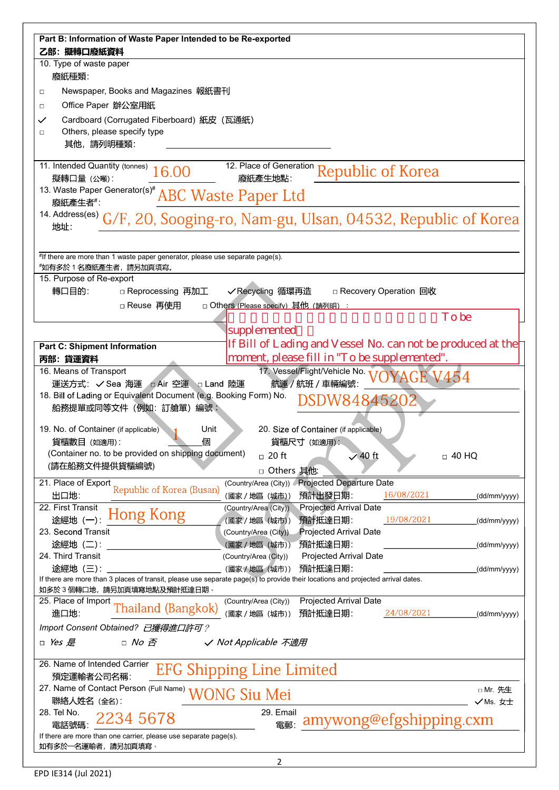| Part B: Information of Waste Paper Intended to be Re-exported<br>乙部: 擬轉口廢紙資料  |                                                                                                                                 |              |  |  |  |
|-------------------------------------------------------------------------------|---------------------------------------------------------------------------------------------------------------------------------|--------------|--|--|--|
| 10. Type of waste paper                                                       |                                                                                                                                 |              |  |  |  |
| 廢紙種類:                                                                         |                                                                                                                                 |              |  |  |  |
| Newspaper, Books and Magazines 報紙書刊<br>$\Box$                                 |                                                                                                                                 |              |  |  |  |
| Office Paper 辦公室用紙<br>$\Box$                                                  |                                                                                                                                 |              |  |  |  |
| Cardboard (Corrugated Fiberboard) 紙皮 (瓦通紙)<br>$\checkmark$                    |                                                                                                                                 |              |  |  |  |
| Others, please specify type<br>$\Box$                                         |                                                                                                                                 |              |  |  |  |
| 其他,請列明種類:                                                                     |                                                                                                                                 |              |  |  |  |
|                                                                               |                                                                                                                                 |              |  |  |  |
| 11. Intended Quantity (tonnes) 16.00                                          | 12. Place of Generation Republic of Korea                                                                                       |              |  |  |  |
| 擬轉口量 (公噸):                                                                    |                                                                                                                                 |              |  |  |  |
| 13. Waste Paper Generator(s) <sup>#</sup> ABC Waste Paper Ltd                 |                                                                                                                                 |              |  |  |  |
| 廢紙產生者#:                                                                       |                                                                                                                                 |              |  |  |  |
| 地址:                                                                           | 14. Address(es) G/F, 20, Sooging-ro, Nam-gu, Ulsan, 04532, Republic of Korea                                                    |              |  |  |  |
|                                                                               |                                                                                                                                 |              |  |  |  |
| #If there are more than 1 waste paper generator, please use separate page(s). |                                                                                                                                 |              |  |  |  |
| *如有多於 1 名廢紙產生者,請另加頁填寫。                                                        |                                                                                                                                 |              |  |  |  |
| 15. Purpose of Re-export                                                      |                                                                                                                                 |              |  |  |  |
| 轉口目的:<br>□ Reprocessing 再加工                                                   | ✔Recycling 循環再造<br>□ Recovery Operation 回收                                                                                      |              |  |  |  |
| □ Reuse 再使用                                                                   | □ Others (Please specify) 其他 (請列明) :<br>To be                                                                                   |              |  |  |  |
|                                                                               |                                                                                                                                 |              |  |  |  |
|                                                                               | supplemented                                                                                                                    |              |  |  |  |
| <b>Part C: Shipment Information</b>                                           | If Bill of Lading and Vessel No. can not be produced at the                                                                     |              |  |  |  |
| 丙部:貨運資料                                                                       | moment, please fill in "To be supplemented".                                                                                    |              |  |  |  |
| 16. Means of Transport                                                        | 17. Vessel/Flight/Vehicle No. 17<br>OYAGE V454                                                                                  |              |  |  |  |
| 運送方式: √ Sea 海運 □ Air 空運 □ Land 陸運                                             | 航運 / 航班 / 車輛編號:                                                                                                                 |              |  |  |  |
| 18. Bill of Lading or Equivalent Document (e.g. Booking Form) No.             | DSDW84845202                                                                                                                    |              |  |  |  |
| 船務提單或同等文件 (例如: 訂艙單) 編號:                                                       |                                                                                                                                 |              |  |  |  |
| 19. No. of Container (if applicable)<br>Unit                                  | 20. Size of Container (if applicable)                                                                                           |              |  |  |  |
| 貨櫃數目 (如適用):<br>個                                                              | 貨櫃尺寸 (如適用):                                                                                                                     |              |  |  |  |
| (Container no. to be provided on shipping document)                           | $\Box$ 20 ft<br>$\sqrt{40}$ ft<br>$\Box$ 40 HQ                                                                                  |              |  |  |  |
| (請在船務文件提供貨櫃編號)                                                                | □ Others 其他:                                                                                                                    |              |  |  |  |
| 21. Place of Export                                                           | (Country/Area (City)) Projected Departure Date                                                                                  |              |  |  |  |
| Republic of Korea (Busan)<br>出口地:                                             | 預計出發日期:<br>16/08/2021<br>(國家 / 地區 (城市))                                                                                         | (dd/mm/yyyy) |  |  |  |
| 22. First Transit                                                             | <b>Projected Arrival Date</b><br>(Country/Area (City))                                                                          |              |  |  |  |
| Hong Kong<br>途經地 (一):                                                         | 預計抵達日期:<br>19/08/2021<br>(國家/地區 (城市))                                                                                           | (dd/mm/yyyy) |  |  |  |
| 23. Second Transit                                                            | <b>Projected Arrival Date</b><br>(Country/Area (City)).                                                                         |              |  |  |  |
| 途經地 (二):                                                                      | 預計抵達日期:<br>(國家 / 地區 (城市))                                                                                                       | (dd/mm/yyyy) |  |  |  |
| 24. Third Transit                                                             | <b>Projected Arrival Date</b><br>(Country/Area (City))                                                                          |              |  |  |  |
| 途經地 (三):                                                                      | 預計抵達日期:<br>(國家/地區 (城市))                                                                                                         | (dd/mm/yyyy) |  |  |  |
|                                                                               | If there are more than 3 places of transit, please use separate page(s) to provide their locations and projected arrival dates. |              |  |  |  |
| 如多於3個轉口地,請另加頁填寫地點及預計抵達日期。<br>25. Place of Import                              | Projected Arrival Date                                                                                                          |              |  |  |  |
| Thailand (Bangkok)<br>進口地:                                                    | (Country/Area (City))<br>(國家 / 地區 (城市))<br>預計抵達日期:<br>24/08/2021                                                                |              |  |  |  |
|                                                                               |                                                                                                                                 | (dd/mm/yyyy) |  |  |  |
| Import Consent Obtained? 已獲得進口許可?                                             |                                                                                                                                 |              |  |  |  |
| $\Box$ No $\bar{\mathcal{B}}$<br>$\Box$ Yes 是                                 | ✓ Not Applicable 不適用                                                                                                            |              |  |  |  |
| 26. Name of Intended Carrier                                                  |                                                                                                                                 |              |  |  |  |
| 預定運輸者公司名稱:                                                                    | <b>EFG Shipping Line Limited</b>                                                                                                |              |  |  |  |
| 27. Name of Contact Person (Full Name)                                        |                                                                                                                                 | □ Mr. 先生     |  |  |  |
| 聯絡人姓名 (全名):                                                                   | <b>WONG Siu Mei</b>                                                                                                             | √Ms. 女士      |  |  |  |
| 28. Tel No.                                                                   | 29. Email                                                                                                                       |              |  |  |  |
| 2234 5678<br>電話號碼                                                             | amywong@efgshipping.cxm<br>電郵:                                                                                                  |              |  |  |  |
| If there are more than one carrier, please use separate page(s).              |                                                                                                                                 |              |  |  |  |
| 如有多於一名運輸者,請另加頁填寫。                                                             |                                                                                                                                 |              |  |  |  |
|                                                                               |                                                                                                                                 |              |  |  |  |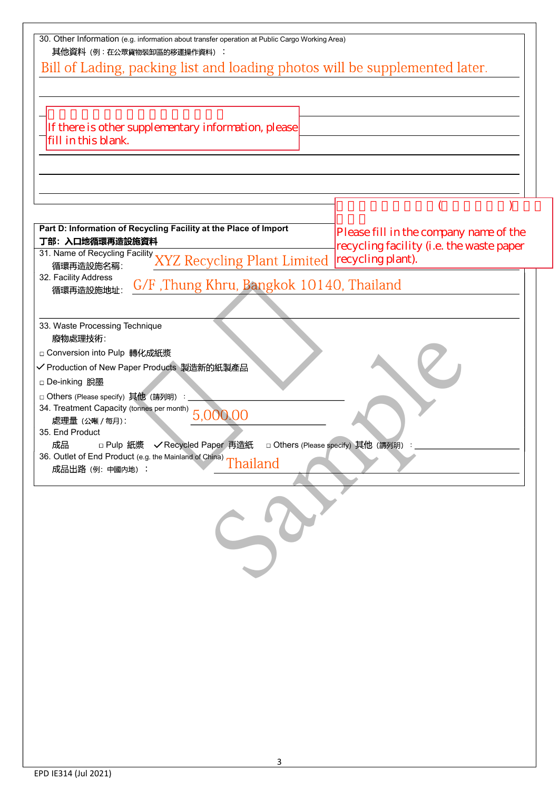| 30. Other Information (e.g. information about transfer operation at Public Cargo Working Area)<br>其他資料 (例:在公眾貨物裝卸區的移運操作資料):                                                                        |                                          |  |  |  |
|----------------------------------------------------------------------------------------------------------------------------------------------------------------------------------------------------|------------------------------------------|--|--|--|
| Bill of Lading, packing list and loading photos will be supplemented later.                                                                                                                        |                                          |  |  |  |
|                                                                                                                                                                                                    |                                          |  |  |  |
|                                                                                                                                                                                                    |                                          |  |  |  |
| If there is other supplementary information, please                                                                                                                                                |                                          |  |  |  |
| fill in this blank.                                                                                                                                                                                |                                          |  |  |  |
|                                                                                                                                                                                                    |                                          |  |  |  |
|                                                                                                                                                                                                    |                                          |  |  |  |
|                                                                                                                                                                                                    |                                          |  |  |  |
|                                                                                                                                                                                                    |                                          |  |  |  |
| Part D: Information of Recycling Facility at the Place of Import<br>丁部: 入口地循環再造設施資料                                                                                                                | Please fill in the company name of the   |  |  |  |
| 31. Name of Recycling Facility XYZ Recycling Plant Limited recycling plant).                                                                                                                       | recycling facility (i.e. the waste paper |  |  |  |
| 32. Facility Address                                                                                                                                                                               |                                          |  |  |  |
| G/F, Thung Khru, Bangkok 10140, Thailand<br>循環再造設施地址:                                                                                                                                              |                                          |  |  |  |
|                                                                                                                                                                                                    |                                          |  |  |  |
| 33. Waste Processing Technique<br>廢物處理技術:                                                                                                                                                          |                                          |  |  |  |
| □ Conversion into Pulp 轉化成紙漿                                                                                                                                                                       |                                          |  |  |  |
| ✔ Production of New Paper Products 製造新的紙製產品                                                                                                                                                        |                                          |  |  |  |
| □ De-inking 脫墨                                                                                                                                                                                     |                                          |  |  |  |
| □ Others (Please specify) 其他 (請列明) : ____                                                                                                                                                          |                                          |  |  |  |
| □ Uthers (Please Specify)<br>34. Treatment Capacity (tonnes per month)<br>5,000.00                                                                                                                 |                                          |  |  |  |
| 35. End Product                                                                                                                                                                                    |                                          |  |  |  |
| 成品<br>□ Pulp 紙漿<br><br>↓ Recycled Paper 再造紙<br>□ Others (Please specify) 其他 (請列明):<br>DXAIR DURIER OF LIFE AND CONTROL TO A CHIRAL 36. Outlet of End Product (e.g. the Mainland of China) Thailand |                                          |  |  |  |
| 成品出路 (例: 中國内地):                                                                                                                                                                                    |                                          |  |  |  |
|                                                                                                                                                                                                    |                                          |  |  |  |
|                                                                                                                                                                                                    |                                          |  |  |  |
|                                                                                                                                                                                                    |                                          |  |  |  |
|                                                                                                                                                                                                    |                                          |  |  |  |
|                                                                                                                                                                                                    |                                          |  |  |  |
|                                                                                                                                                                                                    |                                          |  |  |  |
|                                                                                                                                                                                                    |                                          |  |  |  |
|                                                                                                                                                                                                    |                                          |  |  |  |
|                                                                                                                                                                                                    |                                          |  |  |  |
|                                                                                                                                                                                                    |                                          |  |  |  |
|                                                                                                                                                                                                    |                                          |  |  |  |
|                                                                                                                                                                                                    |                                          |  |  |  |
|                                                                                                                                                                                                    |                                          |  |  |  |